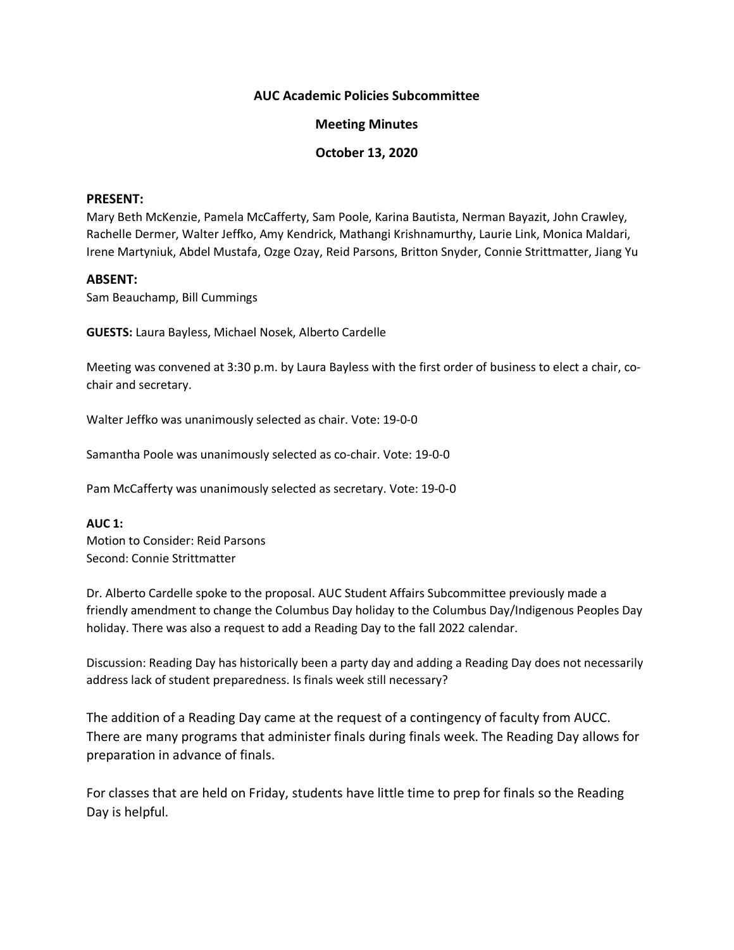## **AUC Academic Policies Subcommittee**

## **Meeting Minutes**

## **October 13, 2020**

### **PRESENT:**

Mary Beth McKenzie, Pamela McCafferty, Sam Poole, Karina Bautista, Nerman Bayazit, John Crawley, Rachelle Dermer, Walter Jeffko, Amy Kendrick, Mathangi Krishnamurthy, Laurie Link, Monica Maldari, Irene Martyniuk, Abdel Mustafa, Ozge Ozay, Reid Parsons, Britton Snyder, Connie Strittmatter, Jiang Yu

### **ABSENT:**

Sam Beauchamp, Bill Cummings

**GUESTS:** Laura Bayless, Michael Nosek, Alberto Cardelle

Meeting was convened at 3:30 p.m. by Laura Bayless with the first order of business to elect a chair, cochair and secretary.

Walter Jeffko was unanimously selected as chair. Vote: 19-0-0

Samantha Poole was unanimously selected as co-chair. Vote: 19-0-0

Pam McCafferty was unanimously selected as secretary. Vote: 19-0-0

#### **AUC 1:**

Motion to Consider: Reid Parsons Second: Connie Strittmatter

Dr. Alberto Cardelle spoke to the proposal. AUC Student Affairs Subcommittee previously made a friendly amendment to change the Columbus Day holiday to the Columbus Day/Indigenous Peoples Day holiday. There was also a request to add a Reading Day to the fall 2022 calendar.

Discussion: Reading Day has historically been a party day and adding a Reading Day does not necessarily address lack of student preparedness. Is finals week still necessary?

The addition of a Reading Day came at the request of a contingency of faculty from AUCC. There are many programs that administer finals during finals week. The Reading Day allows for preparation in advance of finals.

For classes that are held on Friday, students have little time to prep for finals so the Reading Day is helpful.